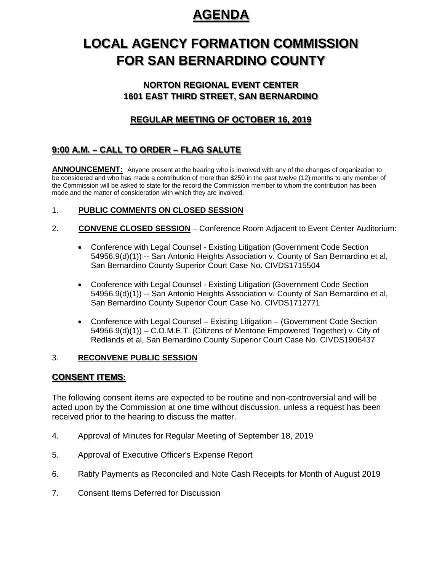# **AGENDA**

# **LOCAL AGENCY FORMATION COMMISSION FOR SAN BERNARDINO COUNTY**

## **NORTON REGIONAL EVENT CENTER 1601 EAST THIRD STREET, SAN BERNARDINO**

## **REGULAR MEETING OF OCTOBER 16, 2019**

# **9:00 A.M. – CALL TO ORDER – FLAG SALUTE**

**ANNOUNCEMENT:** Anyone present at the hearing who is involved with any of the changes of organization to be considered and who has made a contribution of more than \$250 in the past twelve (12) months to any member of the Commission will be asked to state for the record the Commission member to whom the contribution has been made and the matter of consideration with which they are involved.

## 1. **PUBLIC COMMENTS ON CLOSED SESSION**

- 2. **CONVENE CLOSED SESSION** Conference Room Adjacent to Event Center Auditorium:
	- Conference with Legal Counsel Existing Litigation (Government Code Section 54956.9(d)(1)) -- San Antonio Heights Association v. County of San Bernardino et al, San Bernardino County Superior Court Case No. CIVDS1715504
	- Conference with Legal Counsel Existing Litigation (Government Code Section 54956.9(d)(1)) -- San Antonio Heights Association v. County of San Bernardino et al, San Bernardino County Superior Court Case No. CIVDS1712771
	- Conference with Legal Counsel Existing Litigation (Government Code Section 54956.9(d)(1)) – C.O.M.E.T. (Citizens of Mentone Empowered Together) v. City of Redlands et al, San Bernardino County Superior Court Case No. CIVDS1906437

### 3. **RECONVENE PUBLIC SESSION**

## **CONSENT ITEMS:**

The following consent items are expected to be routine and non-controversial and will be acted upon by the Commission at one time without discussion, unless a request has been received prior to the hearing to discuss the matter.

- 4. Approval of Minutes for Regular Meeting of September 18, 2019
- 5. Approval of Executive Officer's Expense Report
- 6. Ratify Payments as Reconciled and Note Cash Receipts for Month of August 2019
- 7. Consent Items Deferred for Discussion